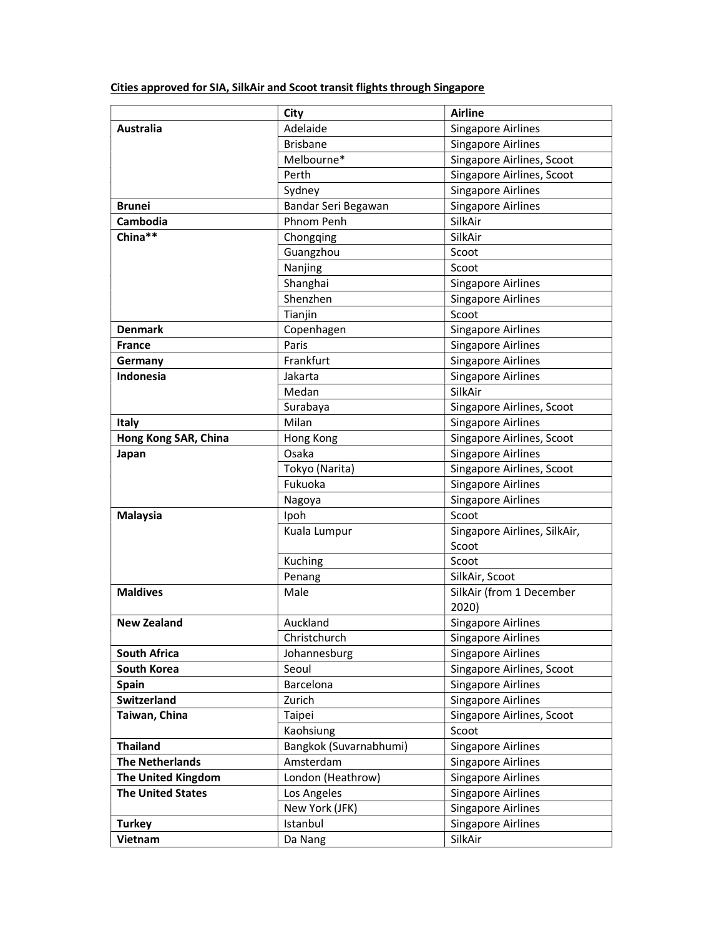| Cities approved for SIA, SilkAir and Scoot transit flights through Singapore |  |
|------------------------------------------------------------------------------|--|
|------------------------------------------------------------------------------|--|

|                          | City                   | <b>Airline</b>               |
|--------------------------|------------------------|------------------------------|
| <b>Australia</b>         | Adelaide               | <b>Singapore Airlines</b>    |
|                          | <b>Brisbane</b>        | <b>Singapore Airlines</b>    |
|                          | Melbourne*             | Singapore Airlines, Scoot    |
|                          | Perth                  | Singapore Airlines, Scoot    |
|                          | Sydney                 | <b>Singapore Airlines</b>    |
| <b>Brunei</b>            | Bandar Seri Begawan    | <b>Singapore Airlines</b>    |
| Cambodia                 | Phnom Penh             | SilkAir                      |
| China**                  | Chongqing              | SilkAir                      |
|                          | Guangzhou              | Scoot                        |
|                          | Nanjing                | Scoot                        |
|                          | Shanghai               | <b>Singapore Airlines</b>    |
|                          | Shenzhen               | <b>Singapore Airlines</b>    |
|                          | Tianjin                | Scoot                        |
| <b>Denmark</b>           | Copenhagen             | <b>Singapore Airlines</b>    |
| <b>France</b>            | Paris                  | <b>Singapore Airlines</b>    |
| Germany                  | Frankfurt              | <b>Singapore Airlines</b>    |
| Indonesia                | Jakarta                | <b>Singapore Airlines</b>    |
|                          | Medan                  | SilkAir                      |
|                          | Surabaya               | Singapore Airlines, Scoot    |
| Italy                    | Milan                  | <b>Singapore Airlines</b>    |
| Hong Kong SAR, China     | Hong Kong              | Singapore Airlines, Scoot    |
| Japan                    | Osaka                  | <b>Singapore Airlines</b>    |
|                          | Tokyo (Narita)         | Singapore Airlines, Scoot    |
|                          | Fukuoka                | <b>Singapore Airlines</b>    |
|                          | Nagoya                 | <b>Singapore Airlines</b>    |
| <b>Malaysia</b>          | Ipoh                   | Scoot                        |
|                          | Kuala Lumpur           | Singapore Airlines, SilkAir, |
|                          |                        | Scoot                        |
|                          | Kuching                | Scoot                        |
|                          | Penang                 | SilkAir, Scoot               |
| <b>Maldives</b>          | Male                   | SilkAir (from 1 December     |
|                          |                        | 2020)                        |
| <b>New Zealand</b>       | Auckland               | <b>Singapore Airlines</b>    |
|                          | Christchurch           | <b>Singapore Airlines</b>    |
| <b>South Africa</b>      | Johannesburg           | <b>Singapore Airlines</b>    |
| South Korea              | Seoul                  | Singapore Airlines, Scoot    |
| <b>Spain</b>             | Barcelona              | <b>Singapore Airlines</b>    |
| Switzerland              | Zurich                 | <b>Singapore Airlines</b>    |
| Taiwan, China            | Taipei                 | Singapore Airlines, Scoot    |
|                          | Kaohsiung              | Scoot                        |
| <b>Thailand</b>          | Bangkok (Suvarnabhumi) | <b>Singapore Airlines</b>    |
| <b>The Netherlands</b>   | Amsterdam              | <b>Singapore Airlines</b>    |
| The United Kingdom       | London (Heathrow)      | <b>Singapore Airlines</b>    |
| <b>The United States</b> | Los Angeles            | <b>Singapore Airlines</b>    |
|                          | New York (JFK)         | <b>Singapore Airlines</b>    |
| <b>Turkey</b>            | Istanbul               | <b>Singapore Airlines</b>    |
| Vietnam                  | Da Nang                | SilkAir                      |